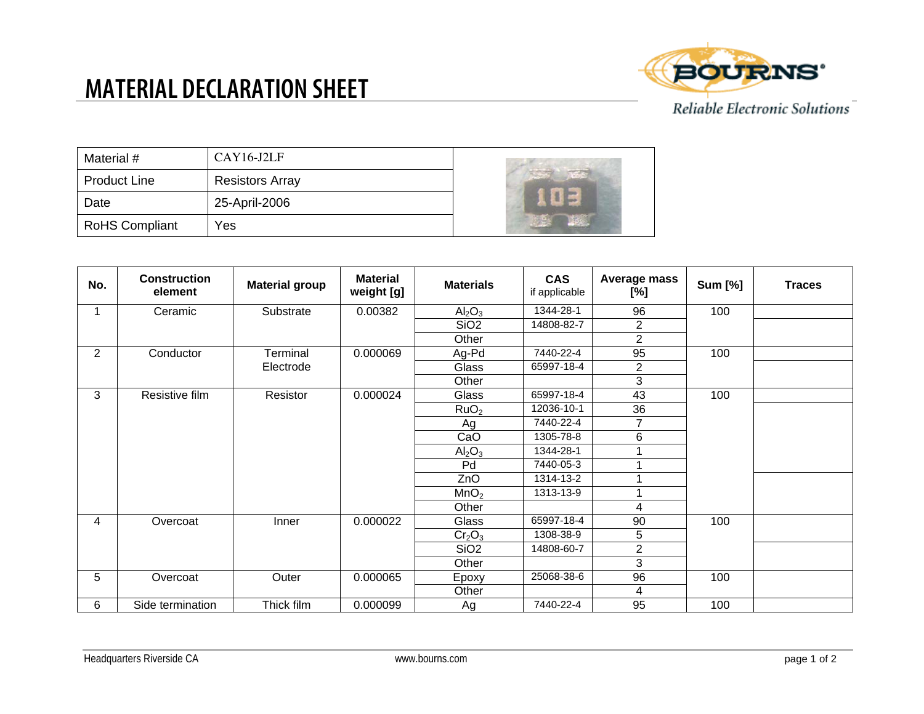## **MATERIAL DECLARATION SHEET**



Reliable Electronic Solutions

| Material #            | $CAY16-J2LF$           |  |
|-----------------------|------------------------|--|
| <b>Product Line</b>   | <b>Resistors Array</b> |  |
| Date                  | 25-April-2006          |  |
| <b>RoHS Compliant</b> | Yes                    |  |

| No.            | <b>Construction</b><br>element | <b>Material group</b> | <b>Material</b><br>weight [g] | <b>Materials</b>               | <b>CAS</b><br>if applicable | Average mass<br>[%] | <b>Sum [%]</b> | <b>Traces</b> |
|----------------|--------------------------------|-----------------------|-------------------------------|--------------------------------|-----------------------------|---------------------|----------------|---------------|
|                | Ceramic                        | Substrate             | 0.00382                       | Al <sub>2</sub> O <sub>3</sub> | 1344-28-1                   | 96                  | 100            |               |
|                |                                |                       |                               | SiO <sub>2</sub>               | 14808-82-7                  | $\overline{2}$      |                |               |
|                |                                |                       |                               | Other                          |                             | $\overline{2}$      |                |               |
| $\overline{2}$ | Conductor                      | Terminal              | 0.000069                      | Ag-Pd                          | 7440-22-4                   | 95                  | 100            |               |
|                |                                | Electrode             |                               | Glass                          | 65997-18-4                  | $\overline{2}$      |                |               |
|                |                                |                       |                               | Other                          |                             | 3                   |                |               |
| 3              | Resistive film                 | Resistor              | 0.000024                      | Glass                          | 65997-18-4                  | 43                  | 100            |               |
|                |                                |                       |                               | RuO <sub>2</sub>               | 12036-10-1                  | 36                  |                |               |
|                |                                |                       |                               | Ag                             | 7440-22-4                   | $\overline{7}$      |                |               |
|                |                                |                       |                               | CaO                            | 1305-78-8                   | 6                   |                |               |
|                |                                |                       |                               | Al <sub>2</sub> O <sub>3</sub> | 1344-28-1                   |                     |                |               |
|                |                                |                       |                               | Pd                             | 7440-05-3                   |                     |                |               |
|                |                                |                       |                               | ZnO                            | 1314-13-2                   |                     |                |               |
|                |                                |                       |                               | MnO <sub>2</sub>               | 1313-13-9                   |                     |                |               |
|                |                                |                       |                               | Other                          |                             | 4                   |                |               |
| 4              | Overcoat                       | Inner                 | 0.000022                      | Glass                          | 65997-18-4                  | 90                  | 100            |               |
|                |                                |                       |                               | Cr <sub>2</sub> O <sub>3</sub> | 1308-38-9                   | 5                   |                |               |
|                |                                |                       |                               | SiO <sub>2</sub>               | 14808-60-7                  | $\overline{c}$      |                |               |
|                |                                |                       |                               | Other                          |                             | 3                   |                |               |
| 5              | Overcoat                       | Outer                 | 0.000065                      | Epoxy                          | 25068-38-6                  | 96                  | 100            |               |
|                |                                |                       |                               | Other                          |                             | 4                   |                |               |
| 6              | Side termination               | Thick film            | 0.000099                      | Ag                             | 7440-22-4                   | 95                  | 100            |               |